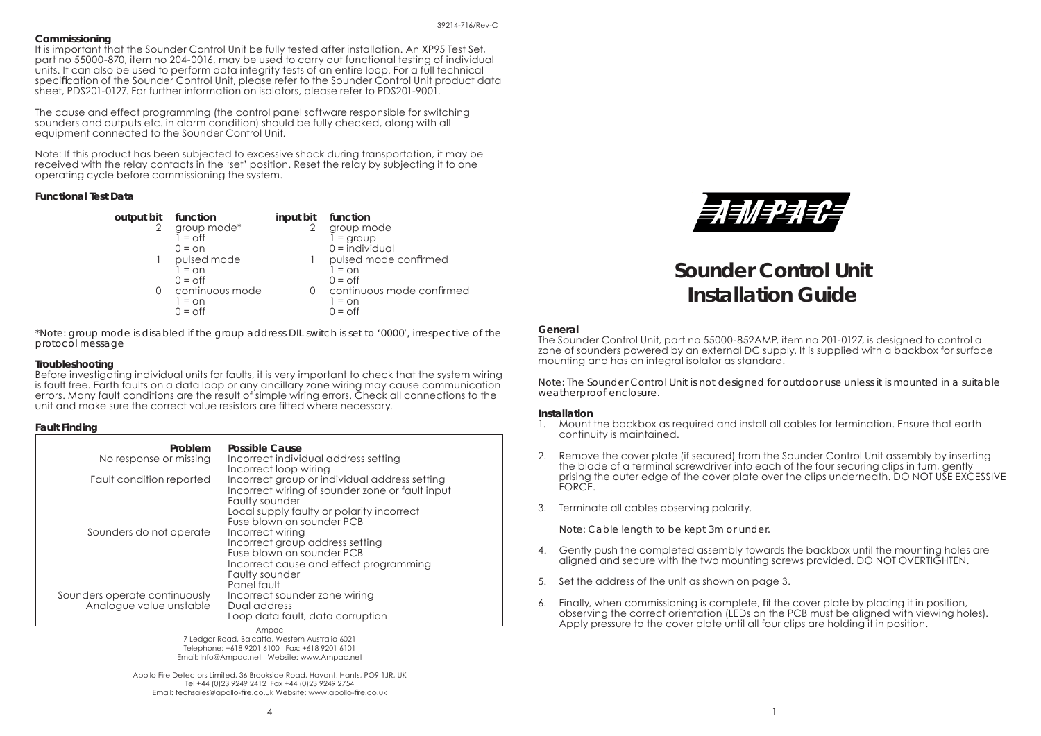#### **Commissioning**

It is important that the Sounder Control Unit be fully tested after installation. An XP95 Test Set, part no 55000-870, item no 204-0016, may be used to carry out functional testing of individual units. It can also be used to perform data integrity tests of an entire loop. For a full technical specification of the Sounder Control Unit, please refer to the Sounder Control Unit product data sheet, PDS201-0127. For further information on isolators, please refer to PDS201-9001.

The cause and effect programming (the control panel software responsible for switching sounders and outputs etc. in alarm condition) should be fully checked, along with all equipment connected to the Sounder Control Unit.

Note: If this product has been subjected to excessive shock during transportation, it may be received with the relay contacts in the 'set' position. Reset the relay by subjecting it to one operating cycle before commissioning the system.

## **Functional Test Data**

 **output bit function input bit function** 2 group mode\* 2 group mode<br>
1 = off 1 = group  $\overline{1} = \overline{0}$  = off  $\overline{1} = \overline{0}$  = on  $\overline{1} = \overline{0}$  = individ 1 pulsed mode 1 pulsed mode confirmed  $1 = \circ n$   $1 = \circ n$  $0 = \Omega f$ 0 continuous mode 0 continuous mode confirmed  $1 = \cap n$   $1 = \cap n$  $0 = \text{off}$   $0 = \text{off}$ 

- - $0 =$ individual
	-
	- $0 = \bigcap$
	-
	-

*\*Note: group mode is disabled if the group address DIL switch is set to '0000', irrespective of the protocol message*

## **Troubleshooting**

Before investigating individual units for faults, it is very important to check that the system wiring is fault free. Earth faults on a data loop or any ancillary zone wiring may cause communication errors. Many fault conditions are the result of simple wiring errors. Check all connections to the unit and make sure the correct value resistors are fitted where necessary.

## **Fault Finding**

| Problem<br>No response or missing                        | Possible Cause<br>Incorrect individual address setting<br>Incorrect loop wiring                                                                             |
|----------------------------------------------------------|-------------------------------------------------------------------------------------------------------------------------------------------------------------|
| Fault condition reported                                 | Incorrect group or individual address setting<br>Incorrect wiring of sounder zone or fault input<br>Faulty sounder                                          |
|                                                          | Local supply faulty or polarity incorrect<br>Fuse blown on sounder PCB                                                                                      |
| Sounders do not operate                                  | Incorrect wiring<br>Incorrect group address setting<br>Fuse blown on sounder PCB<br>Incorrect cause and effect programming<br>Faulty sounder<br>Panel fault |
| Sounders operate continuously<br>Analogue value unstable | Incorrect sounder zone wiring<br>Dual address<br>Loop data fault, data corruption                                                                           |

Ampac 7 Ledgar Road, Balcatta, Western Australia 6021 Telephone: +618 9201 6100 Fax: +618 9201 6101 Email: Info@Ampac.net Website: www.Ampac.net

Apollo Fire Detectors Limited, 36 Brookside Road, Havant, Hants, PO9 1JR, UK Tel +44 (0)23 9249 2412 Fax +44 (0)23 9249 2754 Email: techsales@apollo-fire.co.uk Website: www.apollo-fire.co.uk



# **Sounder Control UnitInstallation Guide**

## **General**

The Sounder Control Unit, part no 55000-852AMP, item no 201-0127, is designed to control a zone of sounders powered by an external DC supply. It is supplied with a backbox for surface mounting and has an integral isolator as standard.

*Note: The Sounder Control Unit is not designed for outdoor use unless it is mounted in a suitable weatherproof enclosure.*

## **Installation**

- 1. Mount the backbox as required and install all cables for termination. Ensure that earth continuity is maintained.
- 2. Remove the cover plate (if secured) from the Sounder Control Unit assembly by inserting the blade of a terminal screwdriver into each of the four securing clips in turn, gently prising the outer edge of the cover plate over the clips underneath. DO NOT USE EXCESSIVE FORCE.
- 3. Terminate all cables observing polarity.

 *Note: Cable length to be kept 3m or under.*

- 4. Gently push the completed assembly towards the backbox until the mounting holes are aligned and secure with the two mounting screws provided. DO NOT OVERTIGHTEN.
- 5. Set the address of the unit as shown on page 3.
- 6. Finally, when commissioning is complete, fit the cover plate by placing it in position, observing the correct orientation (LEDs on the PCB must be aligned with viewing holes). Apply pressure to the cover plate until all four clips are holding it in position.